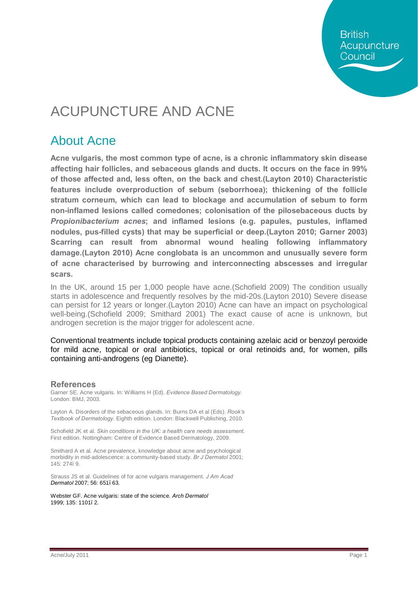**British** Acupuncture Council

# ACUPUNCTURE AND ACNE

### About Acne

**Acne vulgaris, the most common type of acne, is a chronic inflammatory skin disease affecting hair follicles, and sebaceous glands and ducts. It occurs on the face in 99% of those affected and, less often, on the back and chest.(Layton 2010) Characteristic features include overproduction of sebum (seborrhoea); thickening of the follicle stratum corneum, which can lead to blockage and accumulation of sebum to form non-inflamed lesions called comedones; colonisation of the pilosebaceous ducts by**  *Propionibacterium acnes***; and inflamed lesions (e.g. papules, pustules, inflamed nodules, pus-filled cysts) that may be superficial or deep.(Layton 2010; Garner 2003) Scarring can result from abnormal wound healing following inflammatory damage.(Layton 2010) Acne conglobata is an uncommon and unusually severe form of acne characterised by burrowing and interconnecting abscesses and irregular scars.**

In the UK, around 15 per 1,000 people have acne.(Schofield 2009) The condition usually starts in adolescence and frequently resolves by the mid-20s.(Layton 2010) Severe disease can persist for 12 years or longer.(Layton 2010) Acne can have an impact on psychological well-being.(Schofield 2009; Smithard 2001) The exact cause of acne is unknown, but androgen secretion is the major trigger for adolescent acne.

Conventional treatments include topical products containing azelaic acid or benzoyl peroxide for mild acne, topical or oral antibiotics, topical or oral retinoids and, for women, pills containing anti-androgens (eg Dianette).

#### **References**

Garner SE. Acne vulgaris. In: Williams H (Ed). *Evidence Based Dermatology.* London: BMJ, 2003.

Layton A. Disorders of the sebaceous glands. In: Burns DA et al (Eds). *Rook's Textbook of Dermatology.* Eighth edition. London: Blackwell Publishing, 2010.

Schofield JK et al. *Skin conditions in the UK: a health care needs assessment*. First edition. Nottingham: Centre of Evidence Based Dermatology, 2009.

Smithard A et al. Acne prevalence, knowledge about acne and psychological morbidity in mid-adolescence: a community-based study. *Br J Dermatol* 2001; 145: 274. 9.

Strauss JS et al. Guidelines of for acne vulgaris management. *J Am Acad Dermatol* 2007; 56: 651–63.

Webster GF. Acne vulgaris: state of the science. *Arch Dermatol* 1999; 135: 1101. 2.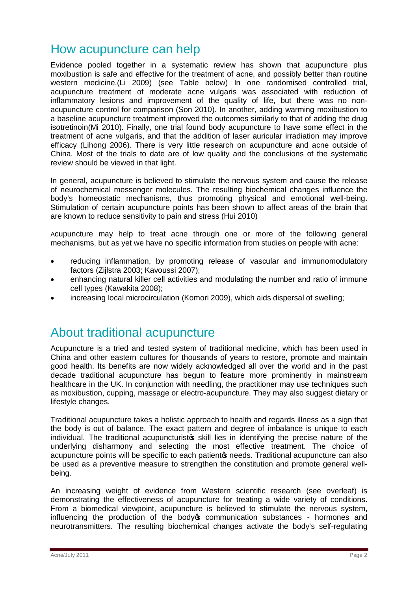## How acupuncture can help

Evidence pooled together in a systematic review has shown that acupuncture plus moxibustion is safe and effective for the treatment of acne, and possibly better than routine western medicine.(Li 2009) (see Table below) In one randomised controlled trial, acupuncture treatment of moderate acne vulgaris was associated with reduction of inflammatory lesions and improvement of the quality of life, but there was no nonacupuncture control for comparison (Son 2010). In another, adding warming moxibustion to a baseline acupuncture treatment improved the outcomes similarly to that of adding the drug isotretinoin(Mi 2010). Finally, one trial found body acupuncture to have some effect in the treatment of acne vulgaris, and that the addition of laser auricular irradiation may improve efficacy (Lihong 2006). There is very little research on acupuncture and acne outside of China. Most of the trials to date are of low quality and the conclusions of the systematic review should be viewed in that light.

In general, acupuncture is believed to stimulate the nervous system and cause the release of neurochemical messenger molecules. The resulting biochemical changes influence the body's homeostatic mechanisms, thus promoting physical and emotional well-being. Stimulation of certain acupuncture points has been shown to affect areas of the brain that are known to reduce sensitivity to pain and stress (Hui 2010)

Acupuncture may help to treat acne through one or more of the following general mechanisms, but as yet we have no specific information from studies on people with acne:

- · reducing inflammation, by promoting release of vascular and immunomodulatory factors (Zijlstra 2003; Kavoussi 2007);
- · enhancing natural killer cell activities and modulating the number and ratio of immune cell types (Kawakita 2008);
- · increasing local microcirculation (Komori 2009), which aids dispersal of swelling;

### About traditional acupuncture

Acupuncture is a tried and tested system of traditional medicine, which has been used in China and other eastern cultures for thousands of years to restore, promote and maintain good health. Its benefits are now widely acknowledged all over the world and in the past decade traditional acupuncture has begun to feature more prominently in mainstream healthcare in the UK. In conjunction with needling, the practitioner may use techniques such as moxibustion, cupping, massage or electro-acupuncture. They may also suggest dietary or lifestyle changes.

Traditional acupuncture takes a holistic approach to health and regards illness as a sign that the body is out of balance. The exact pattern and degree of imbalance is unique to each individual. The traditional acupuncturist is skill lies in identifying the precise nature of the underlying disharmony and selecting the most effective treatment. The choice of acupuncture points will be specific to each patient op needs. Traditional acupuncture can also be used as a preventive measure to strengthen the constitution and promote general wellbeing.

An increasing weight of evidence from Western scientific research (see overleaf) is demonstrating the effectiveness of acupuncture for treating a wide variety of conditions. From a biomedical viewpoint, acupuncture is believed to stimulate the nervous system, influencing the production of the body ocommunication substances - hormones and neurotransmitters. The resulting biochemical changes activate the body's self-regulating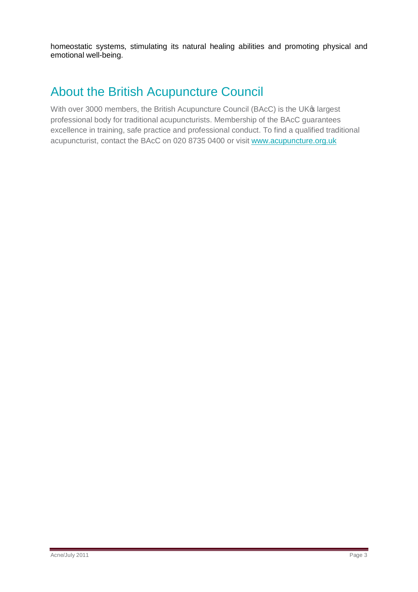homeostatic systems, stimulating its natural healing abilities and promoting physical and emotional well-being.

# About the British Acupuncture Council

With over 3000 members, the British Acupuncture Council (BAcC) is the UK® largest professional body for traditional acupuncturists. Membership of the BAcC guarantees excellence in training, safe practice and professional conduct. To find a qualified traditional acupuncturist, contact the BAcC on 020 8735 0400 or visit [www.acupuncture.org.uk](http://www.acupuncture.org.uk/)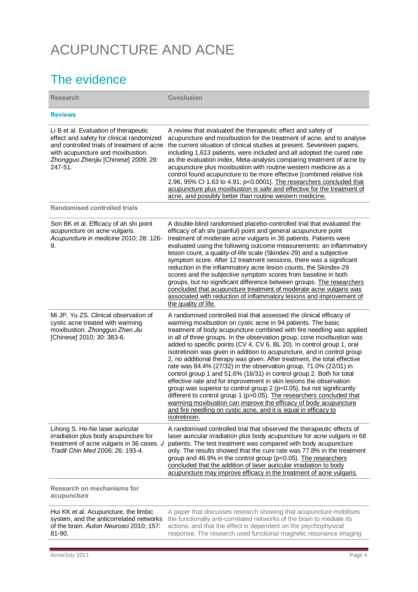# ACUPUNCTURE AND ACNE

## The evidence

| <b>Research</b>                                                                                                                                                                                                          | <b>Conclusion</b>                                                                                                                                                                                                                                                                                                                                                                                                                                                                                                                                                                                                                                                                                                                                                                                                                                                                                                                                                                                                                                      |
|--------------------------------------------------------------------------------------------------------------------------------------------------------------------------------------------------------------------------|--------------------------------------------------------------------------------------------------------------------------------------------------------------------------------------------------------------------------------------------------------------------------------------------------------------------------------------------------------------------------------------------------------------------------------------------------------------------------------------------------------------------------------------------------------------------------------------------------------------------------------------------------------------------------------------------------------------------------------------------------------------------------------------------------------------------------------------------------------------------------------------------------------------------------------------------------------------------------------------------------------------------------------------------------------|
| <b>Reviews</b>                                                                                                                                                                                                           |                                                                                                                                                                                                                                                                                                                                                                                                                                                                                                                                                                                                                                                                                                                                                                                                                                                                                                                                                                                                                                                        |
| Li B et al. Evaluation of therapeutic<br>effect and safety for clinical randomized<br>and controlled trials of treatment of acne<br>with acupuncture and moxibustion.<br>Zhongguo Zhenjiu [Chinese] 2009; 29:<br>247-51. | A review that evaluated the therapeutic effect and safety of<br>acupuncture and moxibustion for the treatment of acne, and to analyse<br>the current situation of clinical studies at present. Seventeen papers,<br>including 1,613 patients, were included and all adopted the cured rate<br>as the evaluation index, Meta-analysis comparing treatment of acne by<br>acupuncture plus moxibustion with routine western medicine as a<br>control found acupuncture to be more effective [combined relative risk<br>2.96, 95% CI 1.63 to 4.91; p<0.0001]. The researchers concluded that<br>acupuncture plus moxibustion is safe and effective for the treatment of<br>acne, and possibly better than routine western medicine.                                                                                                                                                                                                                                                                                                                        |
| <b>Randomised controlled trials</b>                                                                                                                                                                                      |                                                                                                                                                                                                                                                                                                                                                                                                                                                                                                                                                                                                                                                                                                                                                                                                                                                                                                                                                                                                                                                        |
| Son BK et al. Efficacy of ah shi point<br>acupuncture on acne vulgaris.<br>Acupuncture in medicine 2010; 28: 126-<br>9.                                                                                                  | A double-blind randomised placebo-controlled trial that evaluated the<br>efficacy of ah shi (painful) point and general acupuncture point<br>treatment of moderate acne vulgaris in 36 patients. Patients were<br>evaluated using the following outcome measurements: an inflammatory<br>lesion count, a quality-of-life scale (Skindex-29) and a subjective<br>symptom score. After 12 treatment sessions, there was a significant<br>reduction in the inflammatory acne lesion counts, the Skindex-29<br>scores and the subjective symptom scores from baseline in both<br>groups, but no significant difference between groups. The researchers<br>concluded that acupuncture treatment of moderate acne vulgaris was<br>associated with reduction of inflammatory lesions and improvement of<br>the quality of life.                                                                                                                                                                                                                               |
| Mi JP, Yu ZS. Clinical observation of<br>cystic acne treated with warming<br>moxibustion. Zhongguo Zhen Jiu<br>[Chinese] 2010; 30: 383-6.                                                                                | A randomised controlled trial that assessed the clinical efficacy of<br>warming moxibustion on cystic acne in 94 patients. The basic<br>treatment of body acupuncture combined with fire needling was applied<br>in all of three groups. In the observation group, cone moxibustion was<br>added to specific points (CV 4, CV 6, BL 20). In control group 1, oral<br>isotretinoin was given in addition to acupuncture, and in control group<br>2, no additional therapy was given. After treatment, the total effective<br>rate was 84.4% (27/32) in the observation group, 71.0% (22/31) in<br>control group 1 and 51.6% (16/31) in control group 2. Both for total<br>effective rate and for improvement in skin lesions the observation<br>group was superior to control group 2 (p<0.05), but not significantly<br>different to control group 1 (p>0.05). The researchers concluded that<br>warming moxibustion can improve the efficacy of body acupuncture<br>and fire needling on cystic acne, and it is equal in efficacy to<br>isotretinoin. |
| Lihong S. He-Ne laser auricular<br>irradiation plus body acupuncture for<br>treatment of acne vulgaris in 36 cases. J<br>Tradit Chin Med 2006; 26: 193-4.                                                                | A randomised controlled trial that observed the therapeutic effects of<br>laser auricular irradiation plus body acupuncture for acne vulgaris in 68<br>patients. The test treatment was compared with body acupuncture<br>only. The results showed that the cure rate was 77.8% in the treatment<br>group and 46.9% in the control group (p<0.05). The researchers<br>concluded that the addition of laser auricular irradiation to body<br>acupuncture may improve efficacy in the treatment of acne vulgaris.                                                                                                                                                                                                                                                                                                                                                                                                                                                                                                                                        |
| <b>Research on mechanisms for</b><br>acupuncture                                                                                                                                                                         |                                                                                                                                                                                                                                                                                                                                                                                                                                                                                                                                                                                                                                                                                                                                                                                                                                                                                                                                                                                                                                                        |
| Hui KK et al. Acupuncture, the limbic<br>system, and the anticorrelated networks                                                                                                                                         | A paper that discusses research showing that acupuncture mobilises<br>the functionally anti-correlated networks of the brain to mediate its                                                                                                                                                                                                                                                                                                                                                                                                                                                                                                                                                                                                                                                                                                                                                                                                                                                                                                            |

of the brain. *Auton Neurosci* 2010; 157: 81-90.

the functionally anti-correlated networks of the brain to mediate its actions, and that the effect is dependent on the psychophysical response. The research used functional magnetic resonance imaging